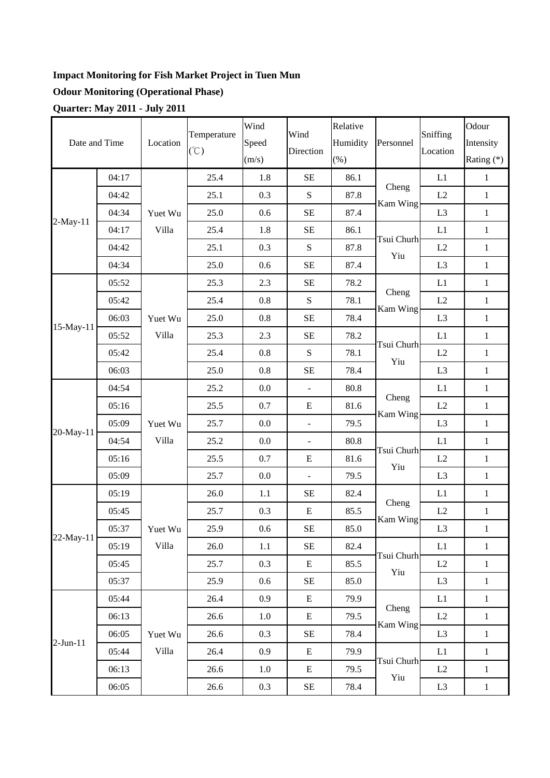## **Impact Monitoring for Fish Market Project in Tuen Mun**

## **Odour Monitoring (Operational Phase)**

**Quarter: May 2011 - July 2011** 

|               |       |          | Temperature   | Wind<br>Wind       | Relative                 |                      | Sniffing          | Odour                  |              |
|---------------|-------|----------|---------------|--------------------|--------------------------|----------------------|-------------------|------------------------|--------------|
| Date and Time |       | Location | $(\degree C)$ | Speed<br>Direction | Humidity                 | Personnel            | Location          | Intensity              |              |
|               |       |          |               | (m/s)              |                          | $(\%)$               |                   |                        | Rating $(*)$ |
|               | 04:17 |          | 25.4          | 1.8                | <b>SE</b>                | 86.1                 | Cheng<br>Kam Wing | L1                     | $\mathbf{1}$ |
| $2-May-11$    | 04:42 | Yuet Wu  | 25.1          | 0.3                | ${\bf S}$                | 87.8                 |                   | L2                     | $\mathbf{1}$ |
|               | 04:34 |          | 25.0          | 0.6                | $\rm SE$                 | 87.4                 |                   | L <sub>3</sub>         | $\mathbf{1}$ |
|               | 04:17 | Villa    | 25.4          | 1.8                | $\rm SE$                 | 86.1                 |                   | L1                     | $\mathbf{1}$ |
|               | 04:42 |          | 25.1          | 0.3                | ${\bf S}$                | 87.8                 | Tsui Churh<br>Yiu | L2                     | $\mathbf{1}$ |
|               | 04:34 |          | 25.0          | 0.6                | $\rm SE$                 | 87.4                 |                   | L <sub>3</sub>         | $\mathbf{1}$ |
|               | 05:52 |          | 25.3          | 2.3                | $\rm SE$                 | 78.2                 |                   | L1                     | $\mathbf{1}$ |
|               | 05:42 |          | 25.4          | 0.8                | ${\bf S}$                | 78.1                 | Cheng             | L2                     | $\mathbf{1}$ |
| 15-May-11     | 06:03 | Yuet Wu  | 25.0          | 0.8                | $\rm SE$                 | 78.4                 | Kam Wing          | L <sub>3</sub>         | $\,1\,$      |
|               | 05:52 | Villa    | 25.3          | 2.3                | $\rm SE$                 | 78.2                 | Tsui Churh<br>Yiu | L1                     | $\mathbf{1}$ |
|               | 05:42 |          | 25.4          | 0.8                | ${\bf S}$                | 78.1                 |                   | L2                     | $\mathbf{1}$ |
|               | 06:03 |          | 25.0          | 0.8                | $\rm SE$                 | 78.4                 |                   | L <sub>3</sub>         | $\mathbf{1}$ |
|               | 04:54 | Yuet Wu  | 25.2          | 0.0                | $\overline{\phantom{a}}$ | 80.8                 | Cheng<br>Kam Wing | L1                     | $\mathbf{1}$ |
|               | 05:16 |          | 25.5          | 0.7                | E                        | 81.6                 |                   | L2                     | $\mathbf{1}$ |
|               | 05:09 |          | 25.7          | 0.0                | $\overline{a}$           | 79.5                 |                   | L <sub>3</sub>         | $\mathbf{1}$ |
| 20-May-11     | 04:54 | Villa    | 25.2          | 0.0                | $\Box$                   | 80.8                 | Tsui Churh        | L1                     | $\,1\,$      |
|               | 05:16 |          | 25.5          | 0.7                | E                        | 81.6                 | Yiu               | L2                     | $\mathbf{1}$ |
|               | 05:09 |          | 25.7          | 0.0                | $\overline{\phantom{a}}$ | 79.5<br>82.4<br>85.5 |                   | L <sub>3</sub>         | $\mathbf{1}$ |
|               | 05:19 | Yuet Wu  | 26.0          | 1.1                | $\rm SE$                 |                      | Cheng<br>Kam Wing | L1                     | $\mathbf{1}$ |
|               | 05:45 |          | 25.7          | 0.3                | ${\bf E}$                |                      |                   | L2                     | $\mathbf{1}$ |
| 22-May-11     | 05:37 |          | 25.9          | 0.6                | $\rm SE$                 | 85.0                 |                   | L <sub>3</sub>         | $\,1\,$      |
|               | 05:19 | Villa    | 26.0          | 1.1                | $\rm SE$                 | 82.4                 | Tsui Churh        | L1                     | $\mathbf{1}$ |
|               | 05:45 |          | 25.7          | 0.3                | E                        | 85.5                 | Yiu               | L2                     | $\mathbf{1}$ |
|               | 05:37 |          | 25.9          | 0.6                | $\rm SE$                 | 85.0                 |                   | L <sub>3</sub>         | $1\,$        |
| $2-Jun-11$    | 05:44 |          | 26.4          | 0.9                | E                        | 79.9                 |                   | $\mathop{\mathrm{L}1}$ | $\,1\,$      |
|               | 06:13 |          | 26.6          | 1.0                | E                        | 79.5                 | Cheng<br>Kam Wing | L2                     | $\mathbf{1}$ |
|               | 06:05 | Yuet Wu  | 26.6          | 0.3                | $\rm SE$                 | 78.4                 |                   | L <sub>3</sub>         | $1\,$        |
|               | 05:44 | Villa    | 26.4          | 0.9                | E                        | 79.9                 |                   | $\mathop{\mathrm{L}1}$ | $1\,$        |
|               | 06:13 |          | 26.6          | 1.0                | E                        | 79.5                 | Tsui Churh<br>Yiu | L2                     | $\mathbf{1}$ |
|               | 06:05 |          | 26.6          | 0.3                | $\rm SE$                 | 78.4                 |                   | L <sub>3</sub>         | $\mathbf{1}$ |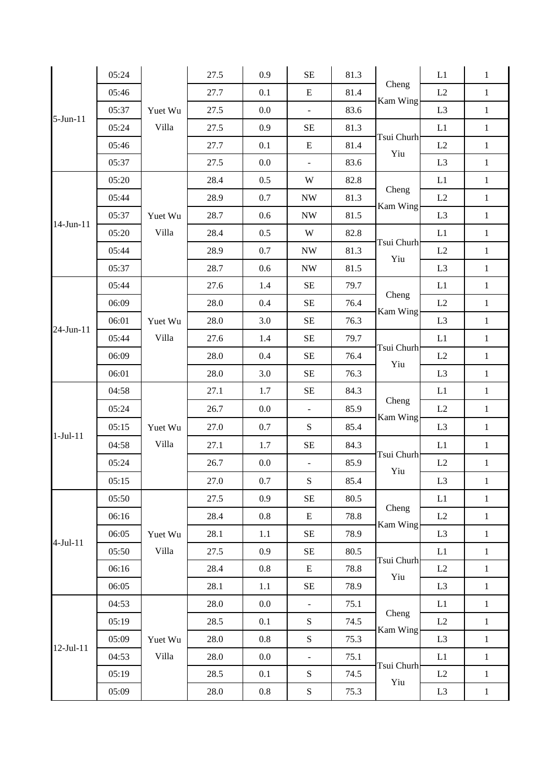|             | 05:24 |                  | 27.5 | 0.9     | <b>SE</b>                | 81.3 | Cheng<br>Kam Wing | L1             | $\mathbf{1}$ |
|-------------|-------|------------------|------|---------|--------------------------|------|-------------------|----------------|--------------|
|             | 05:46 |                  | 27.7 | 0.1     | ${\bf E}$                | 81.4 |                   | L2             | $\mathbf{1}$ |
| 5-Jun-11    | 05:37 | Yuet Wu          | 27.5 | $0.0\,$ | $\overline{\phantom{a}}$ | 83.6 |                   | L <sub>3</sub> | $\,1\,$      |
|             | 05:24 | Villa            | 27.5 | 0.9     | SE                       | 81.3 | Tsui Churh        | L1             | $\mathbf{1}$ |
|             | 05:46 |                  | 27.7 | 0.1     | ${\bf E}$                | 81.4 | Yiu               | L2             | $\,1\,$      |
|             | 05:37 |                  | 27.5 | 0.0     | $\overline{\phantom{a}}$ | 83.6 |                   | L <sub>3</sub> | $\,1\,$      |
|             | 05:20 |                  | 28.4 | 0.5     | W                        | 82.8 |                   | L1             | $\mathbf{1}$ |
|             | 05:44 |                  | 28.9 | 0.7     | $\ensuremath{\text{NW}}$ | 81.3 | Cheng<br>Kam Wing | L2             | $\mathbf 1$  |
| 14-Jun-11   | 05:37 | Yuet Wu          | 28.7 | 0.6     | $\ensuremath{\text{NW}}$ | 81.5 |                   | L <sub>3</sub> | $\mathbf{1}$ |
|             | 05:20 | Villa            | 28.4 | 0.5     | W                        | 82.8 | Tsui Churh<br>Yiu | L1             | $\mathbf{1}$ |
|             | 05:44 |                  | 28.9 | 0.7     | <b>NW</b>                | 81.3 |                   | L2             | $\,1\,$      |
|             | 05:37 |                  | 28.7 | 0.6     | <b>NW</b>                | 81.5 |                   | L <sub>3</sub> | $\,1\,$      |
|             | 05:44 |                  | 27.6 | 1.4     | $\rm SE$                 | 79.7 | Cheng<br>Kam Wing | L1             | $\mathbf{1}$ |
|             | 06:09 |                  | 28.0 | 0.4     | $\rm SE$                 | 76.4 |                   | L2             | $\mathbf{1}$ |
| 24-Jun-11   | 06:01 | Yuet Wu          | 28.0 | 3.0     | $\rm SE$                 | 76.3 |                   | L <sub>3</sub> | $\mathbf{1}$ |
|             | 05:44 | Villa            | 27.6 | 1.4     | <b>SE</b>                | 79.7 | Tsui Churh<br>Yiu | L1             | $\mathbf{1}$ |
|             | 06:09 |                  | 28.0 | 0.4     | $\rm SE$                 | 76.4 |                   | L2             | $\,1\,$      |
|             | 06:01 |                  | 28.0 | 3.0     | $\rm SE$                 | 76.3 |                   | L <sub>3</sub> | $\,1$        |
|             | 04:58 | Yuet Wu<br>Villa | 27.1 | 1.7     | $\rm SE$                 | 84.3 | Cheng<br>Kam Wing | L1             | $\mathbf{1}$ |
|             | 05:24 |                  | 26.7 | $0.0\,$ | $\Box$                   | 85.9 |                   | L2             | $\mathbf{1}$ |
| $1-Jul-11$  | 05:15 |                  | 27.0 | 0.7     | ${\bf S}$                | 85.4 |                   | L <sub>3</sub> | $\mathbf{1}$ |
|             | 04:58 |                  | 27.1 | 1.7     | SE                       | 84.3 | Tsui Churh<br>Yiu | L1             | $\,1\,$      |
|             | 05:24 |                  | 26.7 | 0.0     |                          | 85.9 |                   | L2             | $\mathbf{1}$ |
|             | 05:15 |                  | 27.0 | $0.7\,$ | ${\bf S}$                | 85.4 |                   | L <sub>3</sub> | $\mathbf{1}$ |
|             | 05:50 | Yuet Wu<br>Villa | 27.5 | 0.9     | $\rm SE$                 | 80.5 | Cheng<br>Kam Wing | L1             | $\mathbf{1}$ |
|             | 06:16 |                  | 28.4 | 0.8     | E                        | 78.8 |                   | L2             | $\mathbf{1}$ |
| $4-Jul-11$  | 06:05 |                  | 28.1 | 1.1     | $\rm SE$                 | 78.9 |                   | L <sub>3</sub> | $\,1$        |
|             | 05:50 |                  | 27.5 | 0.9     | $\rm SE$                 | 80.5 | Tsui Churh<br>Yiu | L1             | $\mathbf{1}$ |
|             | 06:16 |                  | 28.4 | 0.8     | $E_{\rm}$                | 78.8 |                   | L2             | $\mathbf{1}$ |
|             | 06:05 |                  | 28.1 | 1.1     | $\rm SE$                 | 78.9 |                   | L <sub>3</sub> | $1\,$        |
|             | 04:53 | Yuet Wu<br>Villa | 28.0 | $0.0\,$ | ÷.                       | 75.1 | Cheng<br>Kam Wing | L1             | $\mathbf{1}$ |
|             | 05:19 |                  | 28.5 | 0.1     | ${\bf S}$                | 74.5 |                   | L2             | $\mathbf{1}$ |
|             | 05:09 |                  | 28.0 | $0.8\,$ | ${\bf S}$                | 75.3 |                   | L <sub>3</sub> | $\,1$        |
| $12-Jul-11$ | 04:53 |                  | 28.0 | $0.0\,$ | $\bar{\phantom{a}}$      | 75.1 | Tsui Churh<br>Yiu | L1             | $\mathbf{1}$ |
|             | 05:19 |                  | 28.5 | 0.1     | ${\bf S}$                | 74.5 |                   | L2             | $\mathbf{1}$ |
|             | 05:09 |                  | 28.0 | $0.8\,$ | ${\bf S}$                | 75.3 |                   | L <sub>3</sub> | $\,1$        |